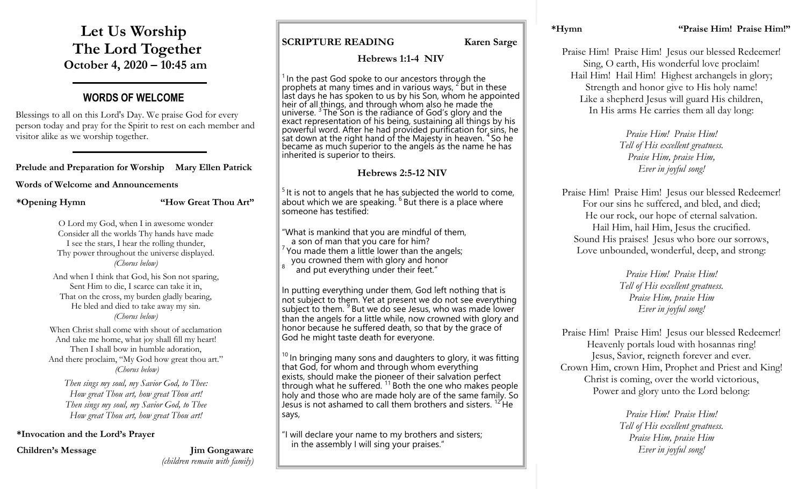**Let Us Worship The Lord Together October 4, 2020 – 10:45 am**

## **WORDS OF WELCOME**

Blessings to all on this Lord's Day. We praise God for every person today and pray for the Spirit to rest on each member and visitor alike as we worship together.

#### **Prelude and Preparation for Worship Mary Ellen Patrick**

#### **Words of Welcome and Announcements**

**\*Opening Hymn "How Great Thou Art"**

O Lord my God, when I in awesome wonder Consider all the worlds Thy hands have made I see the stars, I hear the rolling thunder, Thy power throughout the universe displayed. *(Chorus below)*

And when I think that God, his Son not sparing, Sent Him to die, I scarce can take it in, That on the cross, my burden gladly bearing, He bled and died to take away my sin. *(Chorus below)*

When Christ shall come with shout of acclamation And take me home, what joy shall fill my heart! Then I shall bow in humble adoration. And there proclaim, "My God how great thou art." *(Chorus below)*

*Then sings my soul, my Savior God, to Thee: How great Thou art, how great Thou art! Then sings my soul, my Savior God, to Thee How great Thou art, how great Thou art!*

#### **\*Invocation and the Lord's Prayer**

**Children's Message Jim Gongaware** *(children remain with family)* **SCRIPTURE READING** Karen Sarge

#### **Hebrews 1:1-4 NIV**

 $1$  In the past God spoke to our ancestors through the If the past sea spend to bar ancesters and  $\frac{1}{2}$  but in these last days he has spoken to us by his Son, whom he appointed heir of all things, and through whom also he made the If the Straightness and through information the matter the first contract of God's glory and the exact representation of his being, sustaining all things by his powerful word. After he had provided purification for sins, he sat down at the right hand of the Majesty in heaven. <sup>4</sup> So he became as much superior to the angels as the name he has inherited is superior to theirs.

#### **Hebrews 2:5-12 NIV**

 $5$  It is not to angels that he has subjected the world to come, about which we are speaking.  $6$  But there is a place where someone has testified:

"What is mankind that you are mindful of them, a son of man that you care for him?  $7$  You made them a little lower than the angels; you crowned them with glory and honor 8 and put everything under their feet."

In putting everything under them, God left nothing that is not subject to them. Yet at present we do not see everything subject to them. <sup>9</sup> But we do see Jesus, who was made lower than the angels for a little while, now crowned with glory and honor because he suffered death, so that by the grace of God he might taste death for everyone.

 $10$  In bringing many sons and daughters to glory, it was fitting that God, for whom and through whom everything exists, should make the pioneer of their salvation perfect through what he suffered.  $11$  Both the one who makes people holy and those who are made holy are of the same family. So Jesus is not ashamed to call them brothers and sisters. <sup>12</sup> He says,

"I will declare your name to my brothers and sisters; in the assembly I will sing your praises."

Praise Him! Praise Him! Jesus our blessed Redeemer! Sing, O earth, His wonderful love proclaim! Hail Him! Hail Him! Highest archangels in glory; Strength and honor give to His holy name! Like a shepherd Jesus will guard His children, In His arms He carries them all day long:

> *Praise Him! Praise Him! Tell of His excellent greatness. Praise Him, praise Him, Ever in joyful song!*

Praise Him! Praise Him! Jesus our blessed Redeemer! For our sins he suffered, and bled, and died; He our rock, our hope of eternal salvation. Hail Him, hail Him, Jesus the crucified. Sound His praises! Jesus who bore our sorrows, Love unbounded, wonderful, deep, and strong:

> *Praise Him! Praise Him! Tell of His excellent greatness. Praise Him, praise Him Ever in joyful song!*

Praise Him! Praise Him! Jesus our blessed Redeemer! Heavenly portals loud with hosannas ring! Jesus, Savior, reigneth forever and ever. Crown Him, crown Him, Prophet and Priest and King! Christ is coming, over the world victorious, Power and glory unto the Lord belong:

> *Praise Him! Praise Him! Tell of His excellent greatness. Praise Him, praise Him Ever in joyful song!*